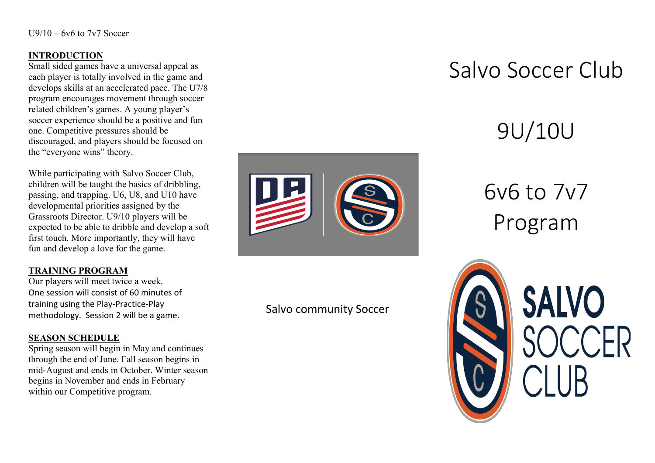### **INTRODUCTION**

Small sided games have a universal appeal as each player is totally involved in the game and develops skills at an accelerated pace. The U7/8 program encourages movement through soccer related children's games. A young player's soccer experience should be a positive and fun one. Competitive pressures should be discouraged, and players should be focused on the "everyone wins" theory.

While participating with Salvo Soccer Club, children will be taught the basics of dribbling, passing, and trapping. U6, U8, and U10 have developmental priorities assigned by the Grassroots Director. U9/10 players will be expected to be able to dribble and develop a soft first touch. More importantly, they will have fun and develop a love for the game.

### **TRAINING PROGRAM**

Our players will meet twice a week. One session will consist of 60 minutes of training using the Play-Practice-Play methodology. Session 2 will be a game.

### **SEASON SCHEDULE**

Spring season will begin in May and continues through the end of June. Fall season begins in mid-August and ends in October. Winter season begins in November and ends in February within our Competitive program.



### Salvo community Soccer

# Salvo Soccer Club

# 9U/10U

# 6v6 to 7v7 Program



**SALVO**